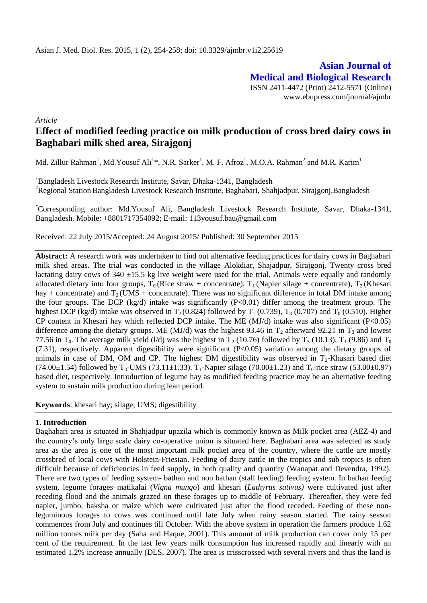**Asian Journal of Medical and Biological Research** ISSN 2411-4472 (Print) 2412-5571 (Online) www.ebupress.com/journal/ajmbr

*Article*

# **Effect of modified feeding practice on milk production of cross bred dairy cows in Baghabari milk shed area, Sirajgonj**

Md. Zillur Rahman<sup>1</sup>, Md.Yousuf Ali<sup>1\*</sup>, N.R. Sarker<sup>1</sup>, M. F. Afroz<sup>1</sup>, M.O.A. Rahman<sup>2</sup> and M.R. Karim<sup>1</sup>

<sup>1</sup>Bangladesh Livestock Research Institute, Savar, Dhaka-1341, Bangladesh <sup>2</sup>Regional Station Bangladesh Livestock Research Institute, Baghabari, Shahjadpur, Sirajgonj,Bangladesh

\*Corresponding author: Md.Yousuf Ali, Bangladesh Livestock Research Institute, Savar, Dhaka-1341, Bangladesh. Mobile: +8801717354092; E-mail: 113yousuf.bau@gmail.com

Received: 22 July 2015/Accepted: 24 August 2015/ Published: 30 September 2015

**Abstract:** A research work was undertaken to find out alternative feeding practices for dairy cows in Baghabari milk shed areas. The trial was conducted in the village Alokdiar, Shajadpur, Sirajgonj. Twenty cross bred lactating dairy cows of  $340 \pm 15.5$  kg live weight were used for the trial. Animals were equally and randomly allocated dietary into four groups,  $T_0$  (Rice straw + concentrate),  $T_1$  (Napier silage + concentrate),  $T_2$  (Khesari hay + concentrate) and  $T_3$  (UMS + concentrate). There was no significant difference in total DM intake among the four groups. The DCP (kg/d) intake was significantly  $(P<0.01)$  differ among the treatment group. The highest DCP (kg/d) intake was observed in  $T_2$  (0.824) followed by  $T_1$  (0.739),  $T_3$  (0.707) and  $T_0$  (0.510). Higher CP content in Khesari hay which reflected DCP intake. The ME (MJ/d) intake was also significant (P<0.05) difference among the dietary groups. ME (MJ/d) was the highest 93.46 in  $T_2$  afterward 92.21 in  $T_3$  and lowest 77.56 in  $T_0$ . The average milk yield (1/d) was the highest in  $T_2$  (10.76) followed by  $T_3$  (10.13),  $T_1$  (9.86) and  $T_0$ (7.31), respectively. Apparent digestibility were significant (P<0.05) variation among the dietary groups of animals in case of DM, OM and CP. The highest DM digestibility was observed in  $T<sub>2</sub>$ -Khasari based diet  $(74.00\pm1.54)$  followed by T<sub>3</sub>-UMS (73.11 $\pm$ 1.33), T<sub>1</sub>-Napier silage (70.00 $\pm$ 1.23) and T<sub>0</sub>-rice straw (53.00 $\pm$ 0.97) based diet, respectively. Introduction of legume hay as modified feeding practice may be an alternative feeding system to sustain milk production during lean period.

**Keywords**: khesari hay; silage; UMS; digestibility

## **1. Introduction**

Baghabari area is situated in Shahjadpur upazila which is commonly known as Milk pocket area (AEZ-4) and the country's only large scale dairy co-operative union is situated here. Baghabari area was selected as study area as the area is one of the most important milk pocket area of the country, where the cattle are mostly crossbred of local cows with Holstein-Friesian. Feeding of dairy cattle in the tropics and sub tropics is often difficult because of deficiencies in feed supply, in both quality and quantity (Wanapat and Devendra, 1992). There are two types of feeding system- bathan and non bathan (stall feeding) feeding system. In bathan feedig system, legume forages–matikalai (*Vigna mungo*) and khesari (*Lathyrus sativus)* were cultivated just after receding flood and the animals grazed on these forages up to middle of February. Thereafter, they were fed napier, jumbo, baksha or maize which were cultivated just after the flood receded. Feeding of these nonleguminous forages to cows was continued until late July when rainy season started. The rainy season commences from July and continues till October. With the above system in operation the farmers produce 1.62 million tonnes milk per day (Saha and Haque, 2001). This amount of milk production can cover only 15 per cent of the requirement. In the last few years milk consumption has increased rapidly and linearly with an estimated 1.2% increase annually (DLS, 2007). The area is crisscrossed with several rivers and thus the land is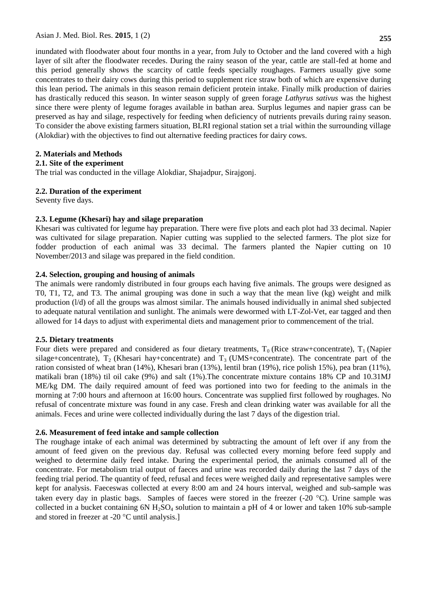Asian J. Med. Biol. Res. **2015**, 1 (2) **255**

inundated with floodwater about four months in a year, from July to October and the land covered with a high layer of silt after the floodwater recedes. During the rainy season of the year, cattle are stall-fed at home and this period generally shows the scarcity of cattle feeds specially roughages. Farmers usually give some concentrates to their dairy cows during this period to supplement rice straw both of which are expensive during this lean period**.** The animals in this season remain deficient protein intake. Finally milk production of dairies has drastically reduced this season. In winter season supply of green forage *Lathyrus sativus* was the highest since there were plenty of legume forages available in bathan area. Surplus legumes and napier grass can be preserved as hay and silage, respectively for feeding when deficiency of nutrients prevails during rainy season. To consider the above existing farmers situation, BLRI regional station set a trial within the surrounding village (Alokdiar) with the objectives to find out alternative feeding practices for dairy cows.

# **2. Materials and Methods**

## **2.1. Site of the experiment**

The trial was conducted in the village Alokdiar, Shajadpur, Sirajgonj.

# **2.2. Duration of the experiment**

Seventy five days.

# **2.3. Legume (Khesari) hay and silage preparation**

Khesari was cultivated for legume hay preparation. There were five plots and each plot had 33 decimal. Napier was cultivated for silage preparation. Napier cutting was supplied to the selected farmers. The plot size for fodder production of each animal was 33 decimal. The farmers planted the Napier cutting on 10 November/2013 and silage was prepared in the field condition.

# **2.4. Selection, grouping and housing of animals**

The animals were randomly distributed in four groups each having five animals. The groups were designed as T0, T1, T2, and T3. The animal grouping was done in such a way that the mean live (kg) weight and milk production (l/d) of all the groups was almost similar. The animals housed individually in animal shed subjected to adequate natural ventilation and sunlight. The animals were dewormed with LT-Zol-Vet, ear tagged and then allowed for 14 days to adjust with experimental diets and management prior to commencement of the trial.

## **2.5. Dietary treatments**

Four diets were prepared and considered as four dietary treatments,  $T_0$  (Rice straw+concentrate),  $T_1$  (Napier silage+concentrate),  $T_2$  (Khesari hay+concentrate) and  $T_3$  (UMS+concentrate). The concentrate part of the ration consisted of wheat bran (14%), Khesari bran (13%), lentil bran (19%), rice polish 15%), pea bran (11%), matikali bran (18%) til oil cake (9%) and salt (1%).The concentrate mixture contains 18% CP and 10.31MJ ME/kg DM. The daily required amount of feed was portioned into two for feeding to the animals in the morning at 7:00 hours and afternoon at 16:00 hours. Concentrate was supplied first followed by roughages. No refusal of concentrate mixture was found in any case. Fresh and clean drinking water was available for all the animals. Feces and urine were collected individually during the last 7 days of the digestion trial.

## **2.6. Measurement of feed intake and sample collection**

The roughage intake of each animal was determined by subtracting the amount of left over if any from the amount of feed given on the previous day. Refusal was collected every morning before feed supply and weighed to determine daily feed intake. During the experimental period, the animals consumed all of the concentrate. For metabolism trial output of faeces and urine was recorded daily during the last 7 days of the feeding trial period. The quantity of feed, refusal and feces were weighed daily and representative samples were kept for analysis. Faeceswas collected at every 8:00 am and 24 hours interval, weighed and sub-sample was taken every day in plastic bags. Samples of faeces were stored in the freezer (-20  $^{\circ}$ C). Urine sample was collected in a bucket containing  $6N H_2SO_4$  solution to maintain a pH of 4 or lower and taken 10% sub-sample and stored in freezer at -20 $\degree$ C until analysis.]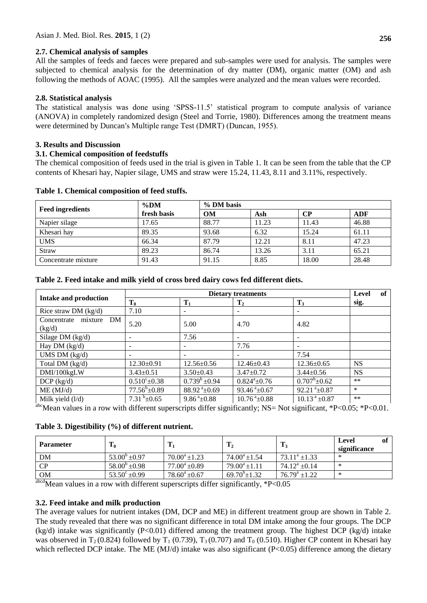# **2.7. Chemical analysis of samples**

All the samples of feeds and faeces were prepared and sub-samples were used for analysis. The samples were subjected to chemical analysis for the determination of dry matter (DM), organic matter (OM) and ash following the methods of AOAC (1995). All the samples were analyzed and the mean values were recorded.

# **2.8. Statistical analysis**

The statistical analysis was done using 'SPSS-11.5' statistical program to compute analysis of variance (ANOVA) in completely randomized design (Steel and Torrie, 1980). Differences among the treatment means were determined by Duncan′s Multiple range Test (DMRT) (Duncan, 1955).

## **3. Results and Discussion**

## **3.1. Chemical composition of feedstuffs**

The chemical composition of feeds used in the trial is given in Table 1. It can be seen from the table that the CP contents of Khesari hay, Napier silage, UMS and straw were 15.24, 11.43, 8.11 and 3.11%, respectively.

|                         | $\%$ DM     |           |       |       |       |
|-------------------------|-------------|-----------|-------|-------|-------|
| <b>Feed ingredients</b> | fresh basis | <b>OM</b> | Ash   | CР    | ADF   |
| Napier silage           | 17.65       | 88.77     | 11.23 | 11.43 | 46.88 |
| Khesari hay             | 89.35       | 93.68     | 6.32  | 15.24 | 61.11 |
| <b>UMS</b>              | 66.34       | 87.79     | 12.21 | 8.11  | 47.23 |
| Straw                   | 89.23       | 86.74     | 13.26 | 3.11  | 65.21 |
| Concentrate mixture     | 91.43       | 91.15     | 8.85  | 18.00 | 28.48 |

#### **Table 1. Chemical composition of feed stuffs.**

# **Table 2. Feed intake and milk yield of cross bred dairy cows fed different diets.**

| <b>Intake and production</b>     |                       | of<br>Level               |                             |                                 |           |
|----------------------------------|-----------------------|---------------------------|-----------------------------|---------------------------------|-----------|
|                                  | $T_0$                 | $T_1$                     | T <sub>2</sub>              | $T_3$                           | sig.      |
| Rice straw DM $(kg/d)$           | 7.10                  | $\overline{\phantom{a}}$  | $\overline{\phantom{a}}$    | -                               |           |
| Concentrate mixture DM<br>(kg/d) | 5.20                  | 5.00                      | 4.70                        | 4.82                            |           |
| Silage DM $(kg/d)$               | -                     | 7.56                      | $\overline{\phantom{a}}$    | -                               |           |
| Hay DM $(kg/d)$                  |                       |                           | 7.76                        |                                 |           |
| UMS DM $(kg/d)$                  | Ξ.                    | $\sim$                    |                             | 7.54                            |           |
| Total DM (kg/d)                  | $12.30 \pm 0.91$      | $12.56 \pm 0.56$          | $12.46 \pm 0.43$            | $12.36 \pm 0.65$                | <b>NS</b> |
| DMI/100kgLW                      | $3.43 \pm 0.51$       | $3.50 \pm 0.43$           | $3.47 \pm 0.72$             | $3.44 \pm 0.56$                 | <b>NS</b> |
| $DCP$ (kg/d)                     | $0.510^{\circ}$ ±0.38 | $0.739^b \pm 0.94$        | $0.824^a \pm 0.76$          | $0.707^b \pm 0.62$              | $**$      |
| ME (MJ/d)                        | $77.56^b \pm 0.89$    | $88.92^{\text{a}}\pm0.69$ | $93.46^{\text{ a}}\pm 0.67$ | $92.21$ <sup>a</sup> $\pm$ 0.87 | $\ast$    |
| Milk yield $(l/d)$               | $7.31b\pm 0.65$       | $9.86^{\text{a}}\pm0.88$  | $10.76^{\text{ a}}\pm0.88$  | $10.13^{\text{ a}}\pm0.87$      | $**$      |

<sup>abc</sup>Mean values in a row with different superscripts differ significantly; NS= Not significant, \*P<0.05; \*P<0.01.

# **Table 3. Digestibility (%) of different nutrient.**

| <b>Parameter</b>  | 10                       | $\mathbf{T}_1$     | $\mathbf{T}$               | $\mathbf{1}_3$        | of<br>Level<br>significance |
|-------------------|--------------------------|--------------------|----------------------------|-----------------------|-----------------------------|
| DM                | $53.00^{\circ}$ ±0.97    | $70.00^a \pm 1.23$ | $74.00^a \pm 1.54$         | $73.11^a \pm 1.33$    | ∗                           |
| $\mathbf{C}$ P    | $58.00^{\circ}$ ±0.98    | $77.00^a \pm 0.89$ | $79.00^a \pm 1.11$         | $74.12^a + 0.14$      | ∗                           |
| <b>OM</b><br>abcd | $53.50^{\circ} \pm 0.99$ | $78.60^a \pm 0.67$ | $69.70^{\circ}$ $\pm 1.32$ | $76.79^{\rm a}$ ±1.22 | ∗                           |

 $a<sup>abcd</sup>$ Mean values in a row with different superscripts differ significantly, \*P<0.05

# **3.2. Feed intake and milk production**

The average values for nutrient intakes (DM, DCP and ME) in different treatment group are shown in Table 2. The study revealed that there was no significant difference in total DM intake among the four groups. The DCP  $(kg/d)$  intake was significantly (P<0.01) differed among the treatment group. The highest DCP (kg/d) intake was observed in  $T_2(0.824)$  followed by  $T_1(0.739)$ ,  $T_3(0.707)$  and  $T_0(0.510)$ . Higher CP content in Khesari hay which reflected DCP intake. The ME (MJ/d) intake was also significant (P<0.05) difference among the dietary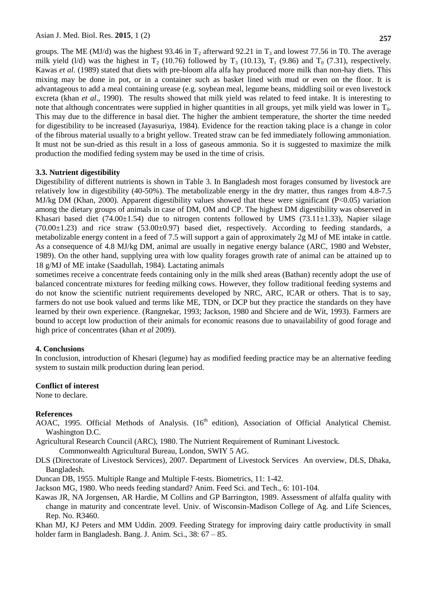groups. The ME (MJ/d) was the highest 93.46 in  $T_2$  afterward 92.21 in  $T_3$  and lowest 77.56 in T0. The average milk yield (l/d) was the highest in  $T_2$  (10.76) followed by  $T_3$  (10.13),  $T_1$  (9.86) and  $T_0$  (7.31), respectively. Kawas *et al.* (1989) stated that diets with pre-bloom alfa alfa hay produced more milk than non-hay diets. This mixing may be done in pot, or in a container such as basket lined with mud or even on the floor. It is advantageous to add a meal containing urease (e.g. soybean meal, legume beans, middling soil or even livestock excreta (khan *et al*., 1990). The results showed that milk yield was related to feed intake. It is interesting to note that although concentrates were supplied in higher quantities in all groups, yet milk yield was lower in  $T_0$ . This may due to the difference in basal diet. The higher the ambient temperature, the shorter the time needed for digestibility to be increased (Jayasuriya, 1984). Evidence for the reaction taking place is a change in color of the fibrous material usually to a bright yellow. Treated straw can be fed immediately following ammoniation. It must not be sun-dried as this result in a loss of gaseous ammonia. So it is suggested to maximize the milk production the modified feding system may be used in the time of crisis.

#### **3.3. Nutrient digestibility**

Digestibility of different nutrients is shown in Table 3. In Bangladesh most forages consumed by livestock are relatively low in digestibility (40-50%). The metabolizable energy in the dry matter, thus ranges from 4.8-7.5 MJ/kg DM (Khan, 2000). Apparent digestibility values showed that these were significant (P<0.05) variation among the dietary groups of animals in case of DM, OM and CP. The highest DM digestibility was observed in Khasari based diet (74.00 $\pm$ 1.54) due to nitrogen contents followed by UMS (73.11 $\pm$ 1.33), Napier silage  $(70.00\pm1.23)$  and rice straw  $(53.00\pm0.97)$  based diet, respectively. According to feeding standards, a metabolizable energy content in a feed of 7.5 will support a gain of approximately 2g MJ of ME intake in cattle. As a consequence of 4.8 MJ/kg DM, animal are usually in negative energy balance (ARC, 1980 and Webster, 1989). On the other hand, supplying urea with low quality forages growth rate of animal can be attained up to 18 g/MJ of ME intake (Saadullah, 1984). Lactating animals

sometimes receive a concentrate feeds containing only in the milk shed areas (Bathan) recently adopt the use of balanced concentrate mixtures for feeding milking cows. However, they follow traditional feeding systems and do not know the scientific nutrient requirements developed by NRC, ARC, ICAR or others. That is to say, farmers do not use book valued and terms like ME, TDN, or DCP but they practice the standards on they have learned by their own experience. (Rangnekar, 1993; Jackson, 1980 and Shciere and de Wit, 1993). Farmers are bound to accept low production of their animals for economic reasons due to unavailability of good forage and high price of concentrates (khan *et al* 2009).

#### **4. Conclusions**

In conclusion, introduction of Khesari (legume) hay as modified feeding practice may be an alternative feeding system to sustain milk production during lean period.

#### **Conflict of interest**

None to declare.

## **References**

- AOAC, 1995. Official Methods of Analysis. (16<sup>th</sup> edition), Association of Official Analytical Chemist. Washington D.C.
- Agricultural Research Council (ARC), 1980. The Nutrient Requirement of Ruminant Livestock.

Commonwealth Agricultural Bureau, London, SWIY 5 AG.

- DLS (Directorate of Livestock Services), 2007. Department of Livestock Services An overview, DLS, Dhaka, Bangladesh.
- Duncan DB, 1955. Multiple Range and Multiple F-tests. Biometrics, 11: 1-42.

Jackson MG, 1980. Who needs feeding standard? Anim. Feed Sci. and Tech., 6: 101-104.

Kawas JR, NA Jorgensen, AR Hardie, M Collins and GP Barrington, 1989. Assessment of alfalfa quality with change in maturity and concentrate level. Univ. of Wisconsin-Madison College of Ag. and Life Sciences, Rep. No. R3460.

Khan MJ, KJ Peters and MM Uddin. 2009. Feeding Strategy for improving dairy cattle productivity in small holder farm in Bangladesh. Bang. J. Anim. Sci., 38: 67 – 85.